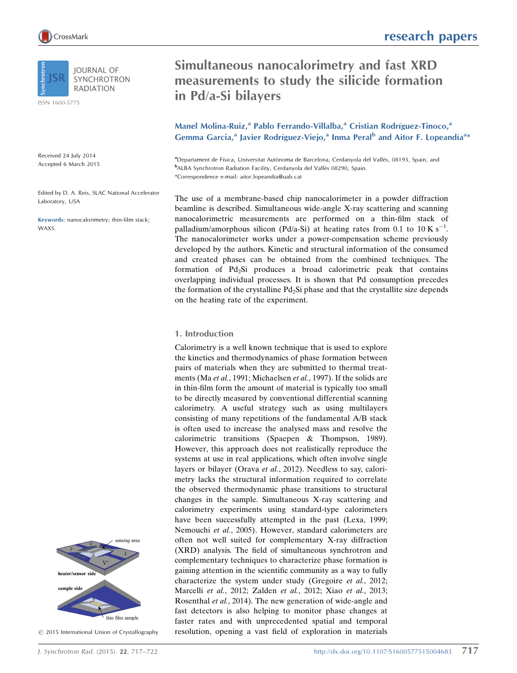

ISSN 1600-5775

Received 24 July 2014 Accepted 6 March 2015

Edited by D. A. Reis, SLAC National Accelerator Laboratory, USA

Keywords: nanocalorimetry; thin-film stack; WAXS.



 $\odot$  2015 International Union of Crystallography

# research papers

# Simultaneous nanocalorimetry and fast XRD measurements to study the silicide formation in Pd/a-Si bilayers

Manel Molina-Ruiz,<sup>a</sup> Pablo Ferrando-Villalba,<sup>a</sup> Cristian Rodríguez-Tinoco,<sup>a</sup> Gemma Garcia,<sup>a</sup> Javier Rodríguez-Viejo,<sup>a</sup> Inma Peral<sup>b</sup> and Aitor F. Lopeandía<sup>a</sup>\*

aDepartament de Física, Universitat Autònoma de Barcelona, Cerdanyola del Vallès, 08193, Spain, and <sup>b</sup>ALBA Synchrotron Radiation Facility, Cerdanyola del Vallès 08290, Spain. \*Correspondence e-mail: aitor.lopeandia@uab.cat

The use of a membrane-based chip nanocalorimeter in a powder diffraction beamline is described. Simultaneous wide-angle X-ray scattering and scanning nanocalorimetric measurements are performed on a thin-film stack of palladium/amorphous silicon (Pd/a-Si) at heating rates from 0.1 to 10 K s<sup>-1</sup>. The nanocalorimeter works under a power-compensation scheme previously developed by the authors. Kinetic and structural information of the consumed and created phases can be obtained from the combined techniques. The formation of  $Pd_2Si$  produces a broad calorimetric peak that contains overlapping individual processes. It is shown that Pd consumption precedes the formation of the crystalline  $Pd_2Si$  phase and that the crystallite size depends on the heating rate of the experiment.

## 1. Introduction

Calorimetry is a well known technique that is used to explore the kinetics and thermodynamics of phase formation between pairs of materials when they are submitted to thermal treatments (Ma et al., 1991; Michaelsen et al., 1997). If the solids are in thin-film form the amount of material is typically too small to be directly measured by conventional differential scanning calorimetry. A useful strategy such as using multilayers consisting of many repetitions of the fundamental A/B stack is often used to increase the analysed mass and resolve the calorimetric transitions (Spaepen & Thompson, 1989). However, this approach does not realistically reproduce the systems at use in real applications, which often involve single layers or bilayer (Orava et al., 2012). Needless to say, calorimetry lacks the structural information required to correlate the observed thermodynamic phase transitions to structural changes in the sample. Simultaneous X-ray scattering and calorimetry experiments using standard-type calorimeters have been successfully attempted in the past (Lexa, 1999; Nemouchi et al., 2005). However, standard calorimeters are often not well suited for complementary X-ray diffraction (XRD) analysis. The field of simultaneous synchrotron and complementary techniques to characterize phase formation is gaining attention in the scientific community as a way to fully characterize the system under study (Gregoire et al., 2012; Marcelli et al., 2012; Zalden et al., 2012; Xiao et al., 2013; Rosenthal et al., 2014). The new generation of wide-angle and fast detectors is also helping to monitor phase changes at faster rates and with unprecedented spatial and temporal resolution, opening a vast field of exploration in materials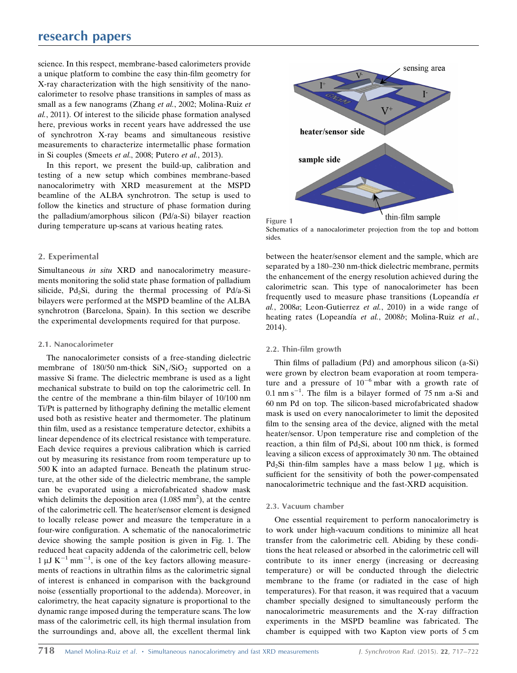# research papers

science. In this respect, membrane-based calorimeters provide a unique platform to combine the easy thin-film geometry for X-ray characterization with the high sensitivity of the nanocalorimeter to resolve phase transitions in samples of mass as small as a few nanograms (Zhang et al., 2002; Molina-Ruiz et al., 2011). Of interest to the silicide phase formation analysed here, previous works in recent years have addressed the use of synchrotron X-ray beams and simultaneous resistive measurements to characterize intermetallic phase formation in Si couples (Smeets et al., 2008; Putero et al., 2013).

In this report, we present the build-up, calibration and testing of a new setup which combines membrane-based nanocalorimetry with XRD measurement at the MSPD beamline of the ALBA synchrotron. The setup is used to follow the kinetics and structure of phase formation during the palladium/amorphous silicon (Pd/a-Si) bilayer reaction during temperature up-scans at various heating rates.

## 2. Experimental

Simultaneous in situ XRD and nanocalorimetry measurements monitoring the solid state phase formation of palladium silicide, Pd<sub>2</sub>Si, during the thermal processing of Pd/a-Si bilayers were performed at the MSPD beamline of the ALBA synchrotron (Barcelona, Spain). In this section we describe the experimental developments required for that purpose.

#### 2.1. Nanocalorimeter

The nanocalorimeter consists of a free-standing dielectric membrane of 180/50 nm-thick  $\text{SiN}_x/\text{SiO}_2$  supported on a massive Si frame. The dielectric membrane is used as a light mechanical substrate to build on top the calorimetric cell. In the centre of the membrane a thin-film bilayer of 10/100 nm Ti/Pt is patterned by lithography defining the metallic element used both as resistive heater and thermometer. The platinum thin film, used as a resistance temperature detector, exhibits a linear dependence of its electrical resistance with temperature. Each device requires a previous calibration which is carried out by measuring its resistance from room temperature up to 500 K into an adapted furnace. Beneath the platinum structure, at the other side of the dielectric membrane, the sample can be evaporated using a microfabricated shadow mask which delimits the deposition area  $(1.085 \text{ mm}^2)$ , at the centre of the calorimetric cell. The heater/sensor element is designed to locally release power and measure the temperature in a four-wire configuration. A schematic of the nanocalorimetric device showing the sample position is given in Fig. 1. The reduced heat capacity addenda of the calorimetric cell, below  $1 \mu J K^{-1}$  mm<sup>-1</sup>, is one of the key factors allowing measurements of reactions in ultrathin films as the calorimetric signal of interest is enhanced in comparison with the background noise (essentially proportional to the addenda). Moreover, in calorimetry, the heat capacity signature is proportional to the dynamic range imposed during the temperature scans. The low mass of the calorimetric cell, its high thermal insulation from the surroundings and, above all, the excellent thermal link



Schematics of a nanocalorimeter projection from the top and bottom sides.

between the heater/sensor element and the sample, which are separated by a 180–230 nm-thick dielectric membrane, permits the enhancement of the energy resolution achieved during the calorimetric scan. This type of nanocalorimeter has been frequently used to measure phase transitions (Lopeandía et al., 2008a; Leon-Gutierrez et al., 2010) in a wide range of heating rates (Lopeandía et al., 2008b; Molina-Ruiz et al., 2014).

#### 2.2. Thin-film growth

Thin films of palladium (Pd) and amorphous silicon (a-Si) were grown by electron beam evaporation at room temperature and a pressure of  $10^{-6}$  mbar with a growth rate of  $0.1$  nm s<sup>-1</sup>. The film is a bilayer formed of 75 nm a-Si and 60 nm Pd on top. The silicon-based microfabricated shadow mask is used on every nanocalorimeter to limit the deposited film to the sensing area of the device, aligned with the metal heater/sensor. Upon temperature rise and completion of the reaction, a thin film of  $Pd_2Si$ , about 100 nm thick, is formed leaving a silicon excess of approximately 30 nm. The obtained Pd<sub>2</sub>Si thin-film samples have a mass below 1  $\mu$ g, which is sufficient for the sensitivity of both the power-compensated nanocalorimetric technique and the fast-XRD acquisition.

#### 2.3. Vacuum chamber

One essential requirement to perform nanocalorimetry is to work under high-vacuum conditions to minimize all heat transfer from the calorimetric cell. Abiding by these conditions the heat released or absorbed in the calorimetric cell will contribute to its inner energy (increasing or decreasing temperature) or will be conducted through the dielectric membrane to the frame (or radiated in the case of high temperatures). For that reason, it was required that a vacuum chamber specially designed to simultaneously perform the nanocalorimetric measurements and the X-ray diffraction experiments in the MSPD beamline was fabricated. The chamber is equipped with two Kapton view ports of 5 cm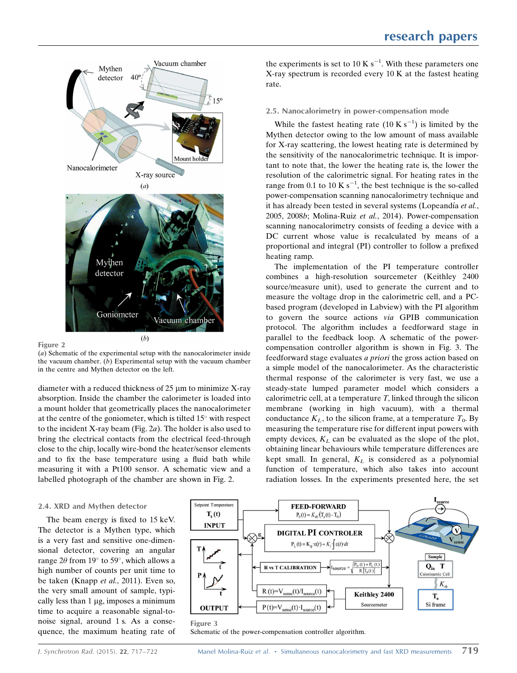

Figure 2

(a) Schematic of the experimental setup with the nanocalorimeter inside the vacuum chamber.  $(b)$  Experimental setup with the vacuum chamber in the centre and Mythen detector on the left.

diameter with a reduced thickness of  $25 \mu m$  to minimize X-ray absorption. Inside the chamber the calorimeter is loaded into a mount holder that geometrically places the nanocalorimeter at the centre of the goniometer, which is tilted  $15^{\circ}$  with respect to the incident X-ray beam (Fig. 2a). The holder is also used to bring the electrical contacts from the electrical feed-through close to the chip, locally wire-bond the heater/sensor elements and to fix the base temperature using a fluid bath while measuring it with a Pt100 sensor. A schematic view and a labelled photograph of the chamber are shown in Fig. 2.

#### 2.4. XRD and Mythen detector

The beam energy is fixed to 15 keV. The detector is a Mythen type, which is a very fast and sensitive one-dimensional detector, covering an angular range  $2\theta$  from  $19^{\circ}$  to  $59^{\circ}$ , which allows a high number of counts per unit time to be taken (Knapp et al., 2011). Even so, the very small amount of sample, typically less than  $1 \mu$ g, imposes a minimum time to acquire a reasonable signal-tonoise signal, around 1 s. As a consequence, the maximum heating rate of

the experiments is set to 10 K  $s^{-1}$ . With these parameters one X-ray spectrum is recorded every 10 K at the fastest heating rate.

#### 2.5. Nanocalorimetry in power-compensation mode

While the fastest heating rate  $(10 \text{ K s}^{-1})$  is limited by the Mythen detector owing to the low amount of mass available for X-ray scattering, the lowest heating rate is determined by the sensitivity of the nanocalorimetric technique. It is important to note that, the lower the heating rate is, the lower the resolution of the calorimetric signal. For heating rates in the range from 0.1 to 10 K  $s^{-1}$ , the best technique is the so-called power-compensation scanning nanocalorimetry technique and it has already been tested in several systems (Lopeandía et al., 2005, 2008b; Molina-Ruiz et al., 2014). Power-compensation scanning nanocalorimetry consists of feeding a device with a DC current whose value is recalculated by means of a proportional and integral (PI) controller to follow a prefixed heating ramp.

The implementation of the PI temperature controller combines a high-resolution sourcemeter (Keithley 2400 source/measure unit), used to generate the current and to measure the voltage drop in the calorimetric cell, and a PCbased program (developed in Labview) with the PI algorithm to govern the source actions via GPIB communication protocol. The algorithm includes a feedforward stage in parallel to the feedback loop. A schematic of the powercompensation controller algorithm is shown in Fig. 3. The feedforward stage evaluates a priori the gross action based on a simple model of the nanocalorimeter. As the characteristic thermal response of the calorimeter is very fast, we use a steady-state lumped parameter model which considers a calorimetric cell, at a temperature  $T$ , linked through the silicon membrane (working in high vacuum), with a thermal conductance  $K_L$ , to the silicon frame, at a temperature  $T_0$ . By measuring the temperature rise for different input powers with empty devices,  $K_L$  can be evaluated as the slope of the plot, obtaining linear behaviours while temperature differences are kept small. In general,  $K_L$  is considered as a polynomial function of temperature, which also takes into account radiation losses. In the experiments presented here, the set



Schematic of the power-compensation controller algorithm.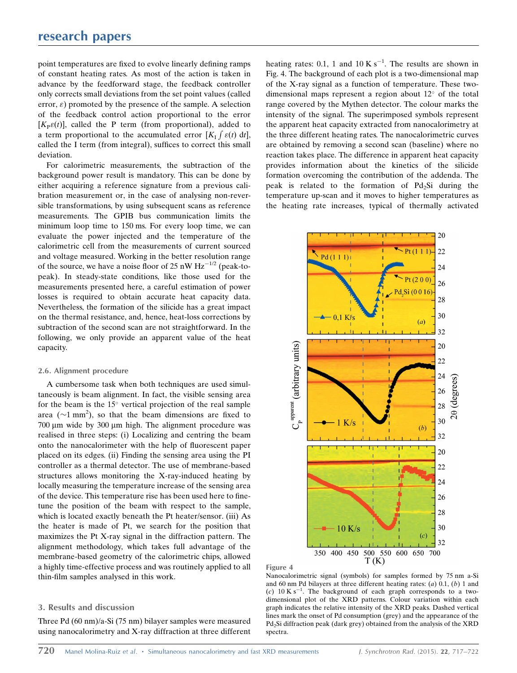# research papers

point temperatures are fixed to evolve linearly defining ramps of constant heating rates. As most of the action is taken in advance by the feedforward stage, the feedback controller only corrects small deviations from the set point values (called error,  $\varepsilon$ ) promoted by the presence of the sample. A selection of the feedback control action proportional to the error  $[K<sub>P</sub> \varepsilon(t)]$ , called the P term (from proportional), added to a term proportional to the accumulated error  $[K_1 f \varepsilon(t) dt]$ , called the I term (from integral), suffices to correct this small deviation.

For calorimetric measurements, the subtraction of the background power result is mandatory. This can be done by either acquiring a reference signature from a previous calibration measurement or, in the case of analysing non-reversible transformations, by using subsequent scans as reference measurements. The GPIB bus communication limits the minimum loop time to 150 ms. For every loop time, we can evaluate the power injected and the temperature of the calorimetric cell from the measurements of current sourced and voltage measured. Working in the better resolution range of the source, we have a noise floor of 25 nW  $Hz^{-1/2}$  (peak-topeak). In steady-state conditions, like those used for the measurements presented here, a careful estimation of power losses is required to obtain accurate heat capacity data. Nevertheless, the formation of the silicide has a great impact on the thermal resistance, and, hence, heat-loss corrections by subtraction of the second scan are not straightforward. In the following, we only provide an apparent value of the heat capacity.

### 2.6. Alignment procedure

A cumbersome task when both techniques are used simultaneously is beam alignment. In fact, the visible sensing area for the beam is the  $15^{\circ}$  vertical projection of the real sample area ( $\sim$ 1 mm<sup>2</sup>), so that the beam dimensions are fixed to  $700 \mu m$  wide by  $300 \mu m$  high. The alignment procedure was realised in three steps: (i) Localizing and centring the beam onto the nanocalorimeter with the help of fluorescent paper placed on its edges. (ii) Finding the sensing area using the PI controller as a thermal detector. The use of membrane-based structures allows monitoring the X-ray-induced heating by locally measuring the temperature increase of the sensing area of the device. This temperature rise has been used here to finetune the position of the beam with respect to the sample, which is located exactly beneath the Pt heater/sensor. (iii) As the heater is made of Pt, we search for the position that maximizes the Pt X-ray signal in the diffraction pattern. The alignment methodology, which takes full advantage of the membrane-based geometry of the calorimetric chips, allowed a highly time-effective process and was routinely applied to all thin-film samples analysed in this work.

## 3. Results and discussion

Three Pd (60 nm)/a-Si (75 nm) bilayer samples were measured using nanocalorimetry and X-ray diffraction at three different

heating rates: 0.1, 1 and 10 K  $s^{-1}$ . The results are shown in Fig. 4. The background of each plot is a two-dimensional map of the X-ray signal as a function of temperature. These twodimensional maps represent a region about  $12^{\circ}$  of the total range covered by the Mythen detector. The colour marks the intensity of the signal. The superimposed symbols represent the apparent heat capacity extracted from nanocalorimetry at the three different heating rates. The nanocalorimetric curves are obtained by removing a second scan (baseline) where no reaction takes place. The difference in apparent heat capacity provides information about the kinetics of the silicide formation overcoming the contribution of the addenda. The peak is related to the formation of  $Pd_2Si$  during the temperature up-scan and it moves to higher temperatures as the heating rate increases, typical of thermally activated





Nanocalorimetric signal (symbols) for samples formed by 75 nm a-Si and 60 nm Pd bilayers at three different heating rates:  $(a)$  0.1,  $(b)$  1 and (c)  $10 \text{ K s}^{-1}$ . The background of each graph corresponds to a twodimensional plot of the XRD patterns. Colour variation within each graph indicates the relative intensity of the XRD peaks. Dashed vertical lines mark the onset of Pd consumption (grey) and the appearance of the Pd2Si diffraction peak (dark grey) obtained from the analysis of the XRD spectra.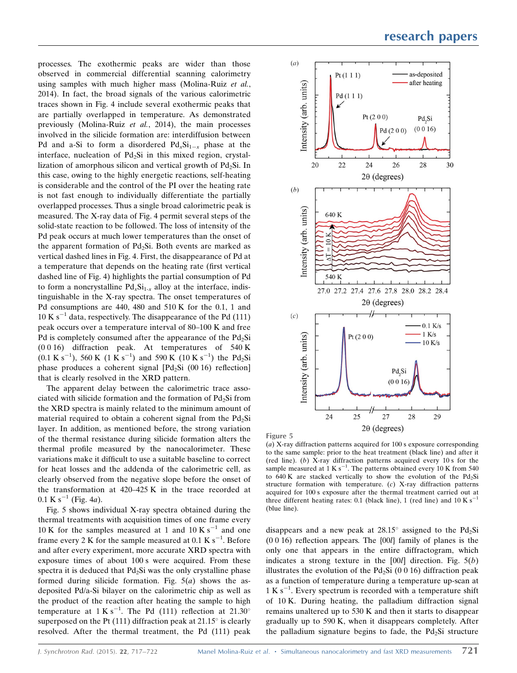processes. The exothermic peaks are wider than those observed in commercial differential scanning calorimetry using samples with much higher mass (Molina-Ruiz et al., 2014). In fact, the broad signals of the various calorimetric traces shown in Fig. 4 include several exothermic peaks that are partially overlapped in temperature. As demonstrated previously (Molina-Ruiz et al., 2014), the main processes involved in the silicide formation are: interdiffusion between Pd and a-Si to form a disordered  $Pd_xSi_{1-x}$  phase at the interface, nucleation of  $Pd_2Si$  in this mixed region, crystallization of amorphous silicon and vertical growth of  $Pd_2Si$ . In this case, owing to the highly energetic reactions, self-heating is considerable and the control of the PI over the heating rate is not fast enough to individually differentiate the partially overlapped processes. Thus a single broad calorimetric peak is measured. The X-ray data of Fig. 4 permit several steps of the solid-state reaction to be followed. The loss of intensity of the Pd peak occurs at much lower temperatures than the onset of the apparent formation of  $Pd_2Si$ . Both events are marked as vertical dashed lines in Fig. 4. First, the disappearance of Pd at a temperature that depends on the heating rate (first vertical dashed line of Fig. 4) highlights the partial consumption of Pd to form a noncrystalline  $Pd_xSi_{1-x}$  alloy at the interface, indistinguishable in the X-ray spectra. The onset temperatures of Pd consumptions are 440, 480 and 510 K for the 0.1, 1 and  $10 K s^{-1}$  data, respectively. The disappearance of the Pd (111) peak occurs over a temperature interval of 80–100 K and free Pd is completely consumed after the appearance of the  $Pd_2Si$ (0 0 16) diffraction peak. At temperatures of 540 K  $(0.1 \text{ K s}^{-1})$ , 560 K  $(1 \text{ K s}^{-1})$  and 590 K  $(10 \text{ K s}^{-1})$  the Pd<sub>2</sub>Si phase produces a coherent signal  $[Pd_2Si (00 16)$  reflection] that is clearly resolved in the XRD pattern.

The apparent delay between the calorimetric trace associated with silicide formation and the formation of  $Pd<sub>2</sub>Si$  from the XRD spectra is mainly related to the minimum amount of material required to obtain a coherent signal from the  $Pd_2Si$ layer. In addition, as mentioned before, the strong variation of the thermal resistance during silicide formation alters the thermal profile measured by the nanocalorimeter. These variations make it difficult to use a suitable baseline to correct for heat losses and the addenda of the calorimetric cell, as clearly observed from the negative slope before the onset of the transformation at 420–425 K in the trace recorded at  $0.1 \text{ K s}^{-1}$  (Fig. 4a).

Fig. 5 shows individual X-ray spectra obtained during the thermal treatments with acquisition times of one frame every 10 K for the samples measured at 1 and 10 K  $s^{-1}$  and one frame every 2 K for the sample measured at 0.1 K  $s^{-1}$ . Before and after every experiment, more accurate XRD spectra with exposure times of about 100 s were acquired. From these spectra it is deduced that  $Pd_2Si$  was the only crystalline phase formed during silicide formation. Fig.  $5(a)$  shows the asdeposited Pd/a-Si bilayer on the calorimetric chip as well as the product of the reaction after heating the sample to high temperature at  $1 \text{ K s}^{-1}$ . The Pd (111) reflection at 21.30° superposed on the Pt (111) diffraction peak at  $21.15^{\circ}$  is clearly resolved. After the thermal treatment, the Pd (111) peak



Figure 5

(a) X-ray diffraction patterns acquired for 100 s exposure corresponding to the same sample: prior to the heat treatment (black line) and after it (red line). (b) X-ray diffraction patterns acquired every 10 s for the sample measured at  $1 \text{ K s}^{-1}$ . The patterns obtained every 10 K from 540 to 640 K are stacked vertically to show the evolution of the  $Pd_2Si$ structure formation with temperature.  $(c)$  X-ray diffraction patterns acquired for 100 s exposure after the thermal treatment carried out at three different heating rates: 0.1 (black line), 1 (red line) and  $10 \text{ K s}^{-1}$ (blue line).

disappears and a new peak at  $28.15^{\circ}$  assigned to the Pd<sub>2</sub>Si (0 0 16) reflection appears. The {00l} family of planes is the only one that appears in the entire diffractogram, which indicates a strong texture in the  $[00l]$  direction. Fig.  $5(b)$ illustrates the evolution of the  $Pd_2Si$  (0 0 16) diffraction peak as a function of temperature during a temperature up-scan at 1 K s<sup>-1</sup>. Every spectrum is recorded with a temperature shift of 10 K. During heating, the palladium diffraction signal remains unaltered up to 530 K and then it starts to disappear gradually up to 590 K, when it disappears completely. After the palladium signature begins to fade, the  $Pd<sub>2</sub>Si$  structure